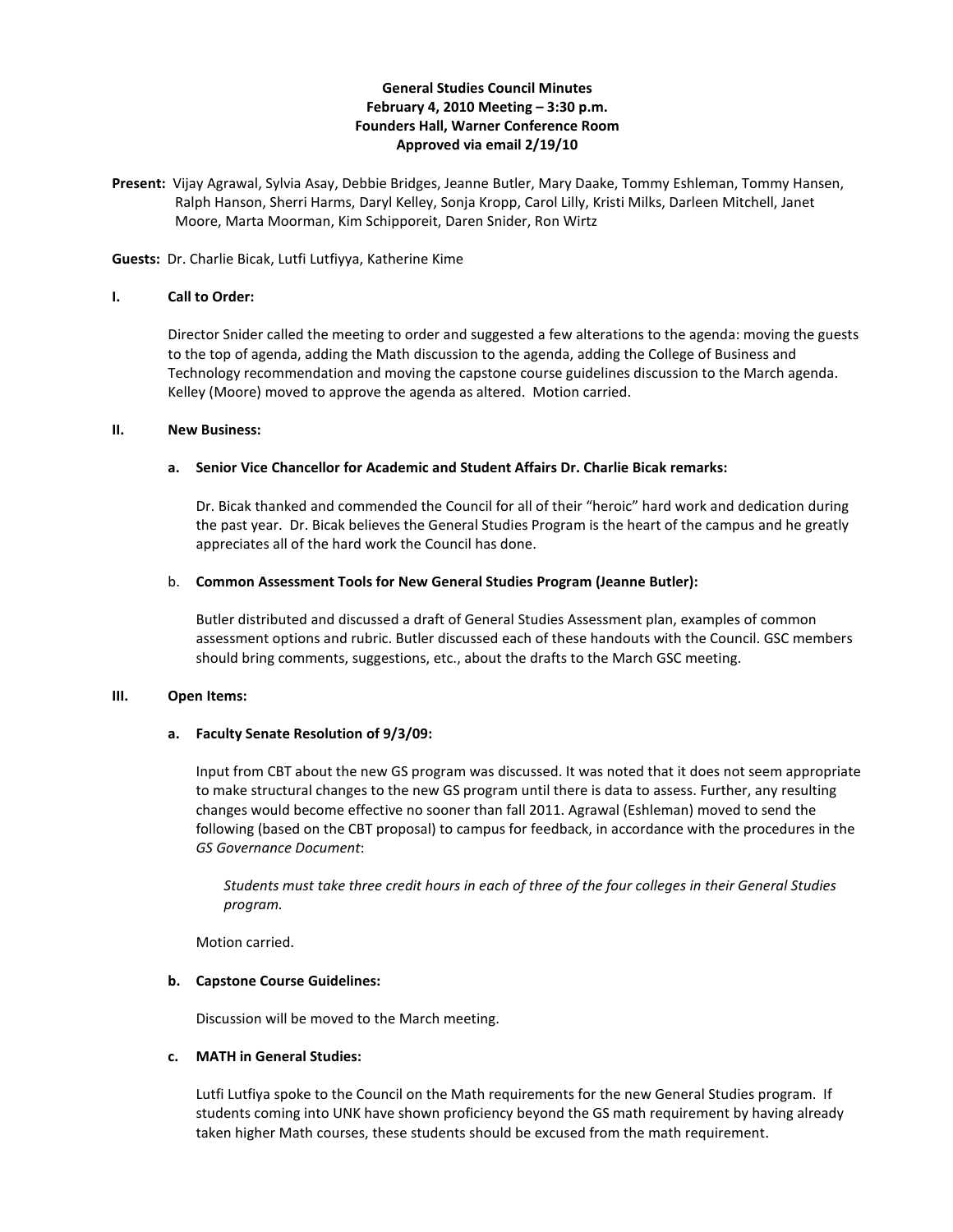## **General Studies Council Minutes February 4, 2010 Meeting – 3:30 p.m. Founders Hall, Warner Conference Room Approved via email 2/19/10**

**Present:** Vijay Agrawal, Sylvia Asay, Debbie Bridges, Jeanne Butler, Mary Daake, Tommy Eshleman, Tommy Hansen, Ralph Hanson, Sherri Harms, Daryl Kelley, Sonja Kropp, Carol Lilly, Kristi Milks, Darleen Mitchell, Janet Moore, Marta Moorman, Kim Schipporeit, Daren Snider, Ron Wirtz

## **Guests:** Dr. Charlie Bicak, Lutfi Lutfiyya, Katherine Kime

#### **I. Call to Order:**

Director Snider called the meeting to order and suggested a few alterations to the agenda: moving the guests to the top of agenda, adding the Math discussion to the agenda, adding the College of Business and Technology recommendation and moving the capstone course guidelines discussion to the March agenda. Kelley (Moore) moved to approve the agenda as altered. Motion carried.

#### **II. New Business:**

#### **a. Senior Vice Chancellor for Academic and Student Affairs Dr. Charlie Bicak remarks:**

Dr. Bicak thanked and commended the Council for all of their "heroic" hard work and dedication during the past year. Dr. Bicak believes the General Studies Program is the heart of the campus and he greatly appreciates all of the hard work the Council has done.

#### b. **Common Assessment Tools for New General Studies Program (Jeanne Butler):**

Butler distributed and discussed a draft of General Studies Assessment plan, examples of common assessment options and rubric. Butler discussed each of these handouts with the Council. GSC members should bring comments, suggestions, etc., about the drafts to the March GSC meeting.

## **III. Open Items:**

## **a. Faculty Senate Resolution of 9/3/09:**

Input from CBT about the new GS program was discussed. It was noted that it does not seem appropriate to make structural changes to the new GS program until there is data to assess. Further, any resulting changes would become effective no sooner than fall 2011. Agrawal (Eshleman) moved to send the following (based on the CBT proposal) to campus for feedback, in accordance with the procedures in the *GS Governance Document*:

*Students must take three credit hours in each of three of the four colleges in their General Studies program.*

Motion carried.

## **b. Capstone Course Guidelines:**

Discussion will be moved to the March meeting.

## **c. MATH in General Studies:**

Lutfi Lutfiya spoke to the Council on the Math requirements for the new General Studies program. If students coming into UNK have shown proficiency beyond the GS math requirement by having already taken higher Math courses, these students should be excused from the math requirement.